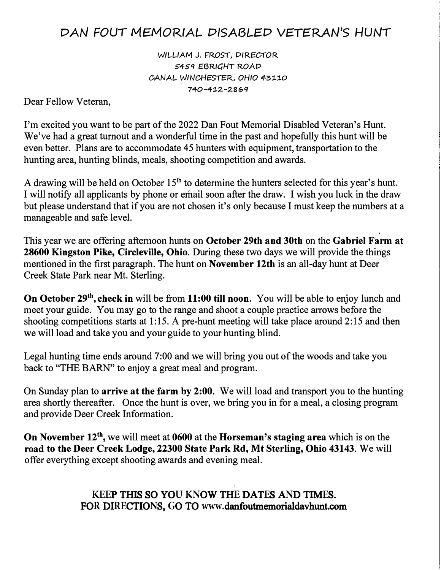## *DAN FOUT /VlE/VlORIAL* **DISABLED VETERAN'S** *HUNT*

*WILLIAM.* J. FROST, DIRECTOR 5459 EBRIGHT ROAD *CANAL* WINCHESTER, *OHIO 43:1-:1-0*  **7 40-4:1-:2.-:2.8 � q** 

Dear Fellow Veteran,

I'm excited you want to be part of the 2022 Dan Fout Memorial Disabled Veteran's Hunt. We've had a great turnout and a wonderful time in the past and hopefully this hunt will be even better. Plans are to accommodate 45 hunters with equipment, transportation to the hunting area, hunting blinds, meals, shooting competition and awards.

A drawing will be held on October  $15<sup>th</sup>$  to determine the hunters selected for this year's hunt. I will notify all applicants by phone or email soon after the draw. I wish you luck in the draw but please understand that if you are not chosen it's only because I must keep the numbers at a manageable and safe level.

This year we are offering afternoon hunts on **October 29th and 30th** on the **Gabriel Farm at 28600 Kingston Pike, Circleville, Ohio.** During these two days we will provide the things mentioned in the first paragraph. The hunt on **November 12th** is an all-day hunt at Deer Creek State Park near Mt. Sterling.

**On October 29<sup>th</sup>, check in** will be from 11:00 till noon. You will be able to enjoy lunch and meet your guide. You may go to the range and shoot a couple practice arrows before the shooting competitions starts at 1:15. A pre-hunt meeting will take place around 2:15 and then we will load and take you and your guide to your hunting blind.

Legal hunting time ends around 7:00 and we will bring you out of the woods and take you back to "THE BARN" to enjoy a great meal and program.

On Sunday plan to **arrive at the farm by 2:00.** We will load and transport you to the hunting area shortly thereafter. Once the hunt is over, we bring you in for a meal, a closing program and provide Deer Creek Information.

**On November 12th ,** we will meet at **0600** at the **Horseman's staging area** which is on the **road to the Deer Creek Lodge, 22300 State Park Rd, Mt Sterling, Ohio 43143.** We will offer everything except shooting awards and evening meal.

> **KEE**P THIS SO YO**U KN**OW TH**E** DAT**E**S A**N**D TIM**E**S. FO**R** DI**RE**CTIO**N**S, **G**O TO **www.**danfoutmemorialdavhunt.com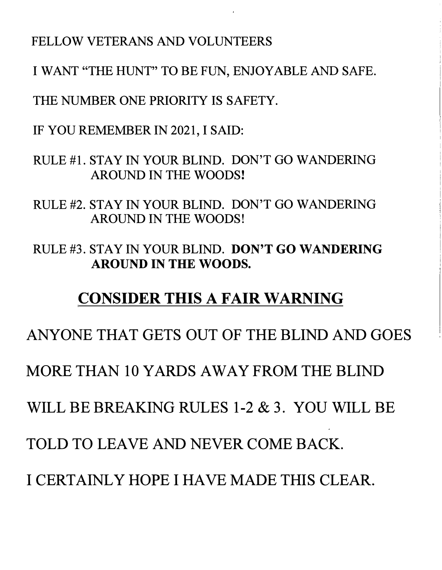## FELLOW VETERANS AND VOLUNTEERS

I WANT "THE HUNT" TO BE FUN, ENJOYABLE AND SAFE.

THE NUMBER ONE PRIORITY IS SAFETY.

IF YOU REMEMBER IN 2021, I SAID:

RULE #1. STAY IN YOUR BLIND. DON'T GO WANDERING AROUND IN THE WOODS!

RULE #2. STAY IN YOUR BLIND. DON'T GO WANDERING AROUND IN THE WOODS!

RULE #3. STAY IN YOUR BLIND. **DON'T GO WANDERING AROUND IN THE WOODS.** 

# **CONSIDER THIS A FAIR WARNING**

ANYONE THAT GETS OUT OF THE BLIND AND GOES

MORE THAN 10 YARDS AWAY FROM THE BLIND

WILL BE BREAKING RULES 1-2 & 3. YOU WILL BE

TOLD TO LEAVE AND NEVER COME BACK.

I CERTAINLY HOPE I HA VE MADE THIS CLEAR.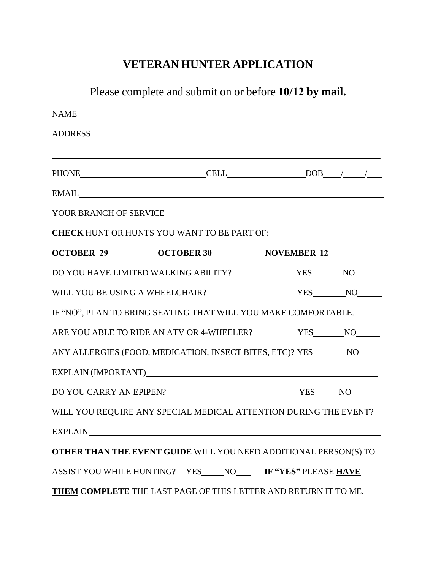## **VETERAN HUNTER APPLICATION**

| Please complete and submit on or before 10/12 by mail. |                                                                                                                                                                                                      |  |                 |  |
|--------------------------------------------------------|------------------------------------------------------------------------------------------------------------------------------------------------------------------------------------------------------|--|-----------------|--|
|                                                        |                                                                                                                                                                                                      |  |                 |  |
|                                                        |                                                                                                                                                                                                      |  |                 |  |
|                                                        | <u> 1989 - Andrea Santa Andrea Santa Andrea Santa Andrea Santa Andrea Santa Andrea Santa Andrea Santa Andrea San</u><br>PHONE $\qquad \qquad \text{CELL} \qquad \qquad \text{DOB} \qquad / \qquad /$ |  |                 |  |
|                                                        | EMAIL <b>EMAIL</b>                                                                                                                                                                                   |  |                 |  |
|                                                        | YOUR BRANCH OF SERVICE                                                                                                                                                                               |  |                 |  |
|                                                        | <b>CHECK HUNT OR HUNTS YOU WANT TO BE PART OF:</b>                                                                                                                                                   |  |                 |  |
|                                                        | OCTOBER 29 __________ OCTOBER 30 ___________ NOVEMBER 12 _________                                                                                                                                   |  |                 |  |
|                                                        | DO YOU HAVE LIMITED WALKING ABILITY?                                                                                                                                                                 |  | YES NO          |  |
| WILL YOU BE USING A WHEELCHAIR?                        |                                                                                                                                                                                                      |  | YES NO          |  |
|                                                        | IF "NO", PLAN TO BRING SEATING THAT WILL YOU MAKE COMFORTABLE.                                                                                                                                       |  |                 |  |
|                                                        | ARE YOU ABLE TO RIDE AN ATV OR 4-WHEELER? YES NO NO                                                                                                                                                  |  |                 |  |
|                                                        | ANY ALLERGIES (FOOD, MEDICATION, INSECT BITES, ETC)? YES ________ NO______                                                                                                                           |  |                 |  |
|                                                        |                                                                                                                                                                                                      |  |                 |  |
| DO YOU CARRY AN EPIPEN?                                |                                                                                                                                                                                                      |  | $YES$ NO $\_\_$ |  |
|                                                        | WILL YOU REQUIRE ANY SPECIAL MEDICAL ATTENTION DURING THE EVENT?                                                                                                                                     |  |                 |  |
|                                                        |                                                                                                                                                                                                      |  |                 |  |
|                                                        | OTHER THAN THE EVENT GUIDE WILL YOU NEED ADDITIONAL PERSON(S) TO                                                                                                                                     |  |                 |  |
|                                                        | ASSIST YOU WHILE HUNTING? YES____NO____ IF "YES" PLEASE HAVE                                                                                                                                         |  |                 |  |
|                                                        | <b>THEM COMPLETE</b> THE LAST PAGE OF THIS LETTER AND RETURN IT TO ME.                                                                                                                               |  |                 |  |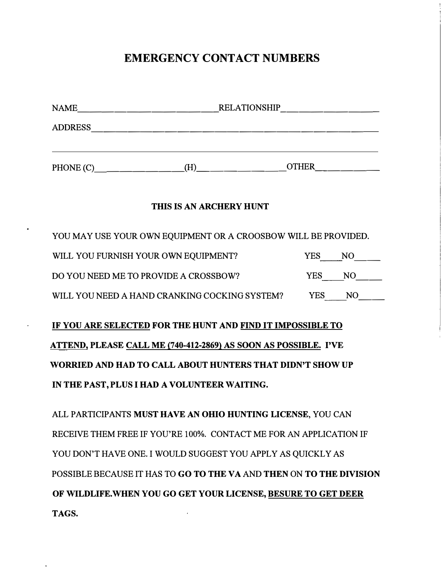### **EMERGENCY CONTACT NUMBERS**

| NAME           | <b>RELATIONSHIP</b> |              |  |
|----------------|---------------------|--------------|--|
| <b>ADDRESS</b> |                     |              |  |
| PHONE (C)      | н                   | <b>OTHER</b> |  |

#### **THIS IS AN ARCHERY HUNT**

| YOU MAY USE YOUR OWN EQUIPMENT OR A CROOSBOW WILL BE PROVIDED. |        |        |  |
|----------------------------------------------------------------|--------|--------|--|
| WILL YOU FURNISH YOUR OWN EQUIPMENT?                           |        | YES NO |  |
| DO YOU NEED ME TO PROVIDE A CROSSBOW?                          | YES NO |        |  |
| WILL YOU NEED A HAND CRANKING COCKING SYSTEM?                  | YES .  | NO.    |  |

**IF YOU ARE SELECTED FOR THE HUNT AND FIND IT IMPOSSIBLE TO ATTEND, PLEASE CALL ME (740-412-2869} AS SOON AS POSSIBLE. I'VE WORRIED AND HAD TO CALL ABOUT HUNTERS THAT DIDN'T SHOW UP IN THE PAST, PLUS I HAD A VOLUNTEER WAITING.** 

ALL PARTICIPANTS **MUST HA VE AN OHIO HUNTING LICENSE,** YOU CAN RECEIVE THEM FREE IF YOU'RE 100%. CONTACT ME FORAN APPLICATION IF YOU DON'T HAVE ONE. I WOULD SUGGEST YOU APPLY AS QUICKLY AS POSSIBLE BECAUSE IT HAS TO **GO TO THE VA** AND **THEN** ON **TO THE DIVISION OF WILDLIFE.WHEN YOU GO GET YOUR LICENSE, BESURE TO GET DEER TAGS.**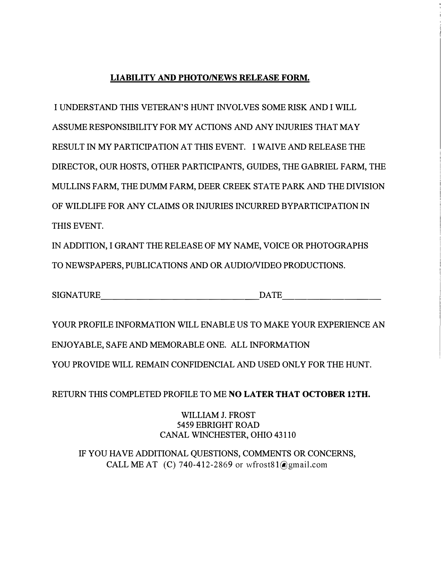#### **LIABILITY AND PHOTO/NEWS RELEASE FORM.**

I UNDERSTAND THIS VETERAN'S HUNT INVOLVES SOME RISK AND I WILL ASSUME RESPONSIBILITY FOR MY ACTIONS AND ANY INJURIES THAT MAY RESULT IN MY PARTICIPATION AT THIS EVENT. I WAIVE AND RELEASE THE DIRECTOR, OUR HOSTS, OTHER PARTICIPANTS, GUIDES, THE GABRIEL FARM, THE MULLINS FARM, THE DUMM FARM, DEER CREEK STATE PARK AND THE DIVISION OF WILDLIFE FOR ANY CLAIMS OR INJURIES INCURRED BYPARTICIPATION IN THIS EVENT.

IN ADDITION, I GRANT THE RELEASE OF MY NAME, VOICE OR PHOTOGRAPHS TO NEWSPAPERS, PUBLICATIONS AND OR AUDIO/VIDEO PRODUCTIONS.

SIGNATURE DATE

YOUR PROFILE INFORMATION WILL ENABLE US TO MAKE YOUR EXPERIENCE AN ENJOY ABLE, SAFE AND MEMORABLE ONE. ALL INFORMATION YOU PROVIDE WILL REMAIN CONFIDENCIAL AND USED ONLY FOR THE HUNT.

RETURN THIS COMPLETED PROFILE TO ME **NO LATER THAT OCTOBER 12TH.**

WILLIAM J. FROST 5459 EBRIGHT ROAD CANAL WINCHESTER, OHIO 43110

IF YOU HA VE ADDITIONAL QUESTIONS, COMMENTS OR CONCERNS, CALL ME AT (C) 740-412-2869 or wfrost81@gmail.com